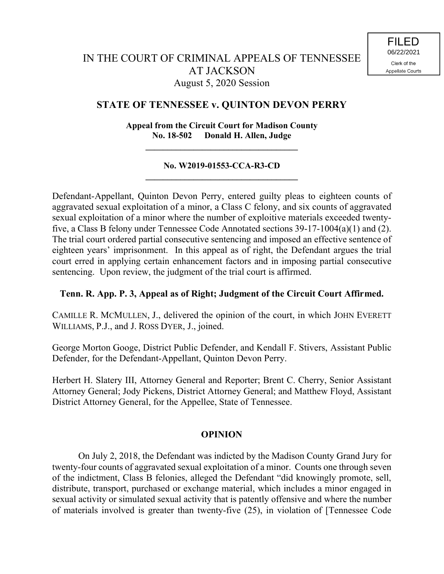# **STATE OF TENNESSEE v. QUINTON DEVON PERRY**

**Appeal from the Circuit Court for Madison County No. 18-502 Donald H. Allen, Judge**

 $\mathcal{L} = \{ \mathcal{L} \}$ 

#### **No. W2019-01553-CCA-R3-CD**  $\mathcal{L} = \{ \mathcal{L} \}$

Defendant-Appellant, Quinton Devon Perry, entered guilty pleas to eighteen counts of aggravated sexual exploitation of a minor, a Class C felony, and six counts of aggravated sexual exploitation of a minor where the number of exploitive materials exceeded twentyfive, a Class B felony under Tennessee Code Annotated sections 39-17-1004(a)(1) and (2). The trial court ordered partial consecutive sentencing and imposed an effective sentence of eighteen years' imprisonment. In this appeal as of right, the Defendant argues the trial court erred in applying certain enhancement factors and in imposing partial consecutive sentencing. Upon review, the judgment of the trial court is affirmed.

## **Tenn. R. App. P. 3, Appeal as of Right; Judgment of the Circuit Court Affirmed.**

CAMILLE R. MCMULLEN, J., delivered the opinion of the court, in which JOHN EVERETT WILLIAMS, P.J., and J. ROSS DYER, J., joined.

George Morton Googe, District Public Defender, and Kendall F. Stivers, Assistant Public Defender, for the Defendant-Appellant, Quinton Devon Perry.

Herbert H. Slatery III, Attorney General and Reporter; Brent C. Cherry, Senior Assistant Attorney General; Jody Pickens, District Attorney General; and Matthew Floyd, Assistant District Attorney General, for the Appellee, State of Tennessee.

## **OPINION**

On July 2, 2018, the Defendant was indicted by the Madison County Grand Jury for twenty-four counts of aggravated sexual exploitation of a minor. Counts one through seven of the indictment, Class B felonies, alleged the Defendant "did knowingly promote, sell, distribute, transport, purchased or exchange material, which includes a minor engaged in sexual activity or simulated sexual activity that is patently offensive and where the number of materials involved is greater than twenty-five (25), in violation of [Tennessee Code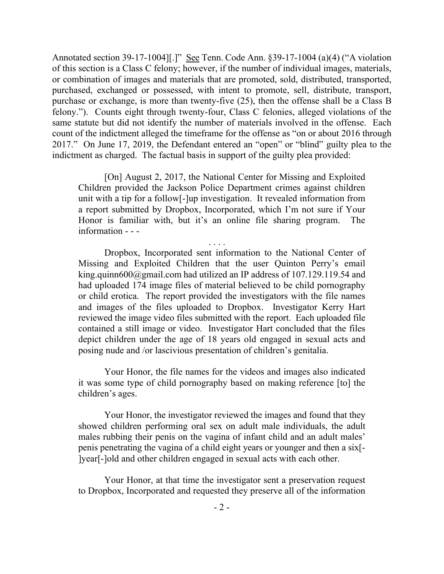Annotated section 39-17-1004][.]" See Tenn. Code Ann. §39-17-1004 (a)(4) ("A violation of this section is a Class C felony; however, if the number of individual images, materials, or combination of images and materials that are promoted, sold, distributed, transported, purchased, exchanged or possessed, with intent to promote, sell, distribute, transport, purchase or exchange, is more than twenty-five (25), then the offense shall be a Class B felony."). Counts eight through twenty-four, Class C felonies, alleged violations of the same statute but did not identify the number of materials involved in the offense. Each count of the indictment alleged the timeframe for the offense as "on or about 2016 through 2017." On June 17, 2019, the Defendant entered an "open" or "blind" guilty plea to the indictment as charged. The factual basis in support of the guilty plea provided:

[On] August 2, 2017, the National Center for Missing and Exploited Children provided the Jackson Police Department crimes against children unit with a tip for a follow[-]up investigation. It revealed information from a report submitted by Dropbox, Incorporated, which I'm not sure if Your Honor is familiar with, but it's an online file sharing program. The information - - -

. . . .

Dropbox, Incorporated sent information to the National Center of Missing and Exploited Children that the user Quinton Perry's email king.quinn600@gmail.com had utilized an IP address of 107.129.119.54 and had uploaded 174 image files of material believed to be child pornography or child erotica. The report provided the investigators with the file names and images of the files uploaded to Dropbox. Investigator Kerry Hart reviewed the image video files submitted with the report. Each uploaded file contained a still image or video. Investigator Hart concluded that the files depict children under the age of 18 years old engaged in sexual acts and posing nude and /or lascivious presentation of children's genitalia.

Your Honor, the file names for the videos and images also indicated it was some type of child pornography based on making reference [to] the children's ages.

Your Honor, the investigator reviewed the images and found that they showed children performing oral sex on adult male individuals, the adult males rubbing their penis on the vagina of infant child and an adult males' penis penetrating the vagina of a child eight years or younger and then a six[- ]year[-]old and other children engaged in sexual acts with each other.

Your Honor, at that time the investigator sent a preservation request to Dropbox, Incorporated and requested they preserve all of the information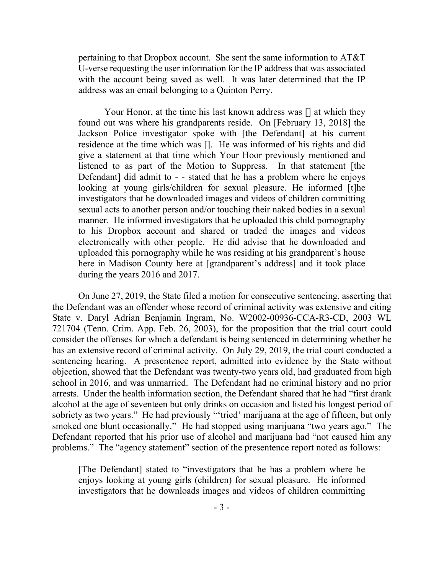pertaining to that Dropbox account. She sent the same information to AT&T U-verse requesting the user information for the IP address that was associated with the account being saved as well. It was later determined that the IP address was an email belonging to a Quinton Perry.

Your Honor, at the time his last known address was [] at which they found out was where his grandparents reside. On [February 13, 2018] the Jackson Police investigator spoke with [the Defendant] at his current residence at the time which was []. He was informed of his rights and did give a statement at that time which Your Hoor previously mentioned and listened to as part of the Motion to Suppress. In that statement [the Defendant] did admit to - - stated that he has a problem where he enjoys looking at young girls/children for sexual pleasure. He informed [t]he investigators that he downloaded images and videos of children committing sexual acts to another person and/or touching their naked bodies in a sexual manner. He informed investigators that he uploaded this child pornography to his Dropbox account and shared or traded the images and videos electronically with other people. He did advise that he downloaded and uploaded this pornography while he was residing at his grandparent's house here in Madison County here at [grandparent's address] and it took place during the years 2016 and 2017.

On June 27, 2019, the State filed a motion for consecutive sentencing, asserting that the Defendant was an offender whose record of criminal activity was extensive and citing State v. Daryl Adrian Benjamin Ingram, No. W2002-00936-CCA-R3-CD, 2003 WL 721704 (Tenn. Crim. App. Feb. 26, 2003), for the proposition that the trial court could consider the offenses for which a defendant is being sentenced in determining whether he has an extensive record of criminal activity. On July 29, 2019, the trial court conducted a sentencing hearing. A presentence report, admitted into evidence by the State without objection, showed that the Defendant was twenty-two years old, had graduated from high school in 2016, and was unmarried. The Defendant had no criminal history and no prior arrests. Under the health information section, the Defendant shared that he had "first drank alcohol at the age of seventeen but only drinks on occasion and listed his longest period of sobriety as two years." He had previously "tried' marijuana at the age of fifteen, but only smoked one blunt occasionally." He had stopped using marijuana "two years ago." The Defendant reported that his prior use of alcohol and marijuana had "not caused him any problems." The "agency statement" section of the presentence report noted as follows:

[The Defendant] stated to "investigators that he has a problem where he enjoys looking at young girls (children) for sexual pleasure. He informed investigators that he downloads images and videos of children committing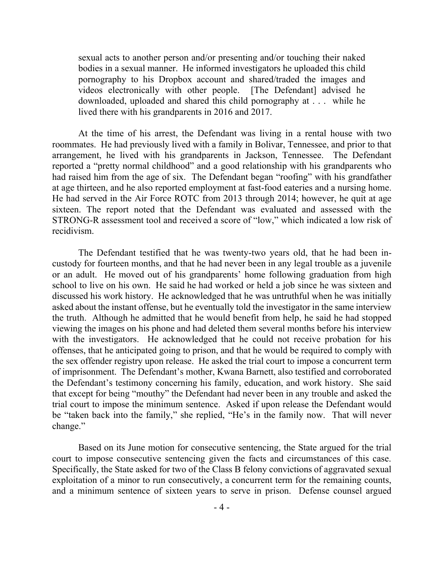sexual acts to another person and/or presenting and/or touching their naked bodies in a sexual manner. He informed investigators he uploaded this child pornography to his Dropbox account and shared/traded the images and videos electronically with other people. [The Defendant] advised he downloaded, uploaded and shared this child pornography at . . . while he lived there with his grandparents in 2016 and 2017.

At the time of his arrest, the Defendant was living in a rental house with two roommates. He had previously lived with a family in Bolivar, Tennessee, and prior to that arrangement, he lived with his grandparents in Jackson, Tennessee. The Defendant reported a "pretty normal childhood" and a good relationship with his grandparents who had raised him from the age of six. The Defendant began "roofing" with his grandfather at age thirteen, and he also reported employment at fast-food eateries and a nursing home. He had served in the Air Force ROTC from 2013 through 2014; however, he quit at age sixteen. The report noted that the Defendant was evaluated and assessed with the STRONG-R assessment tool and received a score of "low," which indicated a low risk of recidivism.

The Defendant testified that he was twenty-two years old, that he had been incustody for fourteen months, and that he had never been in any legal trouble as a juvenile or an adult. He moved out of his grandparents' home following graduation from high school to live on his own. He said he had worked or held a job since he was sixteen and discussed his work history. He acknowledged that he was untruthful when he was initially asked about the instant offense, but he eventually told the investigator in the same interview the truth. Although he admitted that he would benefit from help, he said he had stopped viewing the images on his phone and had deleted them several months before his interview with the investigators. He acknowledged that he could not receive probation for his offenses, that he anticipated going to prison, and that he would be required to comply with the sex offender registry upon release. He asked the trial court to impose a concurrent term of imprisonment. The Defendant's mother, Kwana Barnett, also testified and corroborated the Defendant's testimony concerning his family, education, and work history. She said that except for being "mouthy" the Defendant had never been in any trouble and asked the trial court to impose the minimum sentence. Asked if upon release the Defendant would be "taken back into the family," she replied, "He's in the family now. That will never change."

Based on its June motion for consecutive sentencing, the State argued for the trial court to impose consecutive sentencing given the facts and circumstances of this case. Specifically, the State asked for two of the Class B felony convictions of aggravated sexual exploitation of a minor to run consecutively, a concurrent term for the remaining counts, and a minimum sentence of sixteen years to serve in prison. Defense counsel argued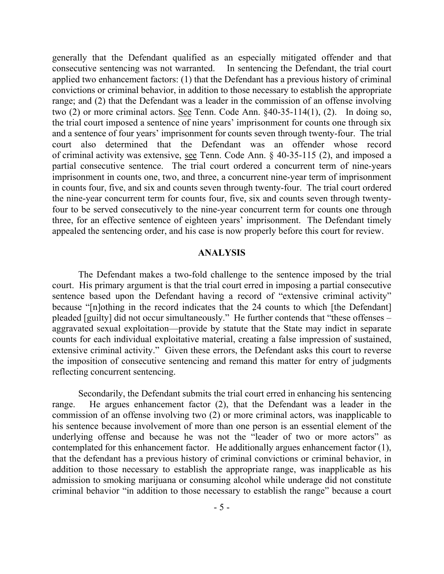generally that the Defendant qualified as an especially mitigated offender and that consecutive sentencing was not warranted. In sentencing the Defendant, the trial court applied two enhancement factors: (1) that the Defendant has a previous history of criminal convictions or criminal behavior, in addition to those necessary to establish the appropriate range; and (2) that the Defendant was a leader in the commission of an offense involving two (2) or more criminal actors. See Tenn. Code Ann. §40-35-114(1), (2). In doing so, the trial court imposed a sentence of nine years' imprisonment for counts one through six and a sentence of four years' imprisonment for counts seven through twenty-four. The trial court also determined that the Defendant was an offender whose record of criminal activity was extensive, see Tenn. Code Ann. § 40-35-115 (2), and imposed a partial consecutive sentence. The trial court ordered a concurrent term of nine-years imprisonment in counts one, two, and three, a concurrent nine-year term of imprisonment in counts four, five, and six and counts seven through twenty-four. The trial court ordered the nine-year concurrent term for counts four, five, six and counts seven through twentyfour to be served consecutively to the nine-year concurrent term for counts one through three, for an effective sentence of eighteen years' imprisonment. The Defendant timely appealed the sentencing order, and his case is now properly before this court for review.

#### **ANALYSIS**

The Defendant makes a two-fold challenge to the sentence imposed by the trial court. His primary argument is that the trial court erred in imposing a partial consecutive sentence based upon the Defendant having a record of "extensive criminal activity" because "[n]othing in the record indicates that the 24 counts to which [the Defendant] pleaded [guilty] did not occur simultaneously." He further contends that "these offenses – aggravated sexual exploitation—provide by statute that the State may indict in separate counts for each individual exploitative material, creating a false impression of sustained, extensive criminal activity." Given these errors, the Defendant asks this court to reverse the imposition of consecutive sentencing and remand this matter for entry of judgments reflecting concurrent sentencing.

Secondarily, the Defendant submits the trial court erred in enhancing his sentencing range. He argues enhancement factor (2), that the Defendant was a leader in the commission of an offense involving two (2) or more criminal actors, was inapplicable to his sentence because involvement of more than one person is an essential element of the underlying offense and because he was not the "leader of two or more actors" as contemplated for this enhancement factor. He additionally argues enhancement factor (1), that the defendant has a previous history of criminal convictions or criminal behavior, in addition to those necessary to establish the appropriate range, was inapplicable as his admission to smoking marijuana or consuming alcohol while underage did not constitute criminal behavior "in addition to those necessary to establish the range" because a court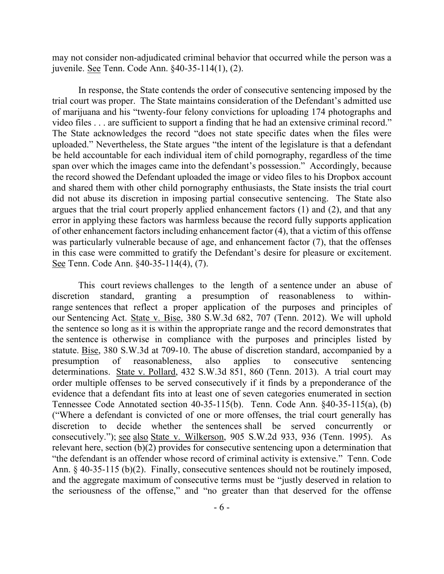may not consider non-adjudicated criminal behavior that occurred while the person was a juvenile. See Tenn. Code Ann. §40-35-114(1), (2).

In response, the State contends the order of consecutive sentencing imposed by the trial court was proper. The State maintains consideration of the Defendant's admitted use of marijuana and his "twenty-four felony convictions for uploading 174 photographs and video files . . . are sufficient to support a finding that he had an extensive criminal record." The State acknowledges the record "does not state specific dates when the files were uploaded." Nevertheless, the State argues "the intent of the legislature is that a defendant be held accountable for each individual item of child pornography, regardless of the time span over which the images came into the defendant's possession." Accordingly, because the record showed the Defendant uploaded the image or video files to his Dropbox account and shared them with other child pornography enthusiasts, the State insists the trial court did not abuse its discretion in imposing partial consecutive sentencing. The State also argues that the trial court properly applied enhancement factors (1) and (2), and that any error in applying these factors was harmless because the record fully supports application of other enhancement factors including enhancement factor (4), that a victim of this offense was particularly vulnerable because of age, and enhancement factor (7), that the offenses in this case were committed to gratify the Defendant's desire for pleasure or excitement. See Tenn. Code Ann. §40-35-114(4), (7).

This court reviews challenges to the length of a sentence under an abuse of discretion standard, granting a presumption of reasonableness to withinrange sentences that reflect a proper application of the purposes and principles of our Sentencing Act. State v. Bise, 380 S.W.3d 682, 707 (Tenn. 2012). We will uphold the sentence so long as it is within the appropriate range and the record demonstrates that the sentence is otherwise in compliance with the purposes and principles listed by statute. Bise, 380 S.W.3d at 709-10. The abuse of discretion standard, accompanied by a presumption of reasonableness, also applies to consecutive sentencing determinations. State v. Pollard, 432 S.W.3d 851, 860 (Tenn. 2013). A trial court may order multiple offenses to be served consecutively if it finds by a preponderance of the evidence that a defendant fits into at least one of seven categories enumerated in section Tennessee Code Annotated section 40-35-115(b). Tenn. Code Ann. §40-35-115(a), (b) ("Where a defendant is convicted of one or more offenses, the trial court generally has discretion to decide whether the sentences shall be served concurrently or consecutively."); see also State v. Wilkerson, 905 S.W.2d 933, 936 (Tenn. 1995). As relevant here, section (b)(2) provides for consecutive sentencing upon a determination that "the defendant is an offender whose record of criminal activity is extensive." Tenn. Code Ann. § 40-35-115 (b)(2). Finally, consecutive sentences should not be routinely imposed, and the aggregate maximum of consecutive terms must be "justly deserved in relation to the seriousness of the offense," and "no greater than that deserved for the offense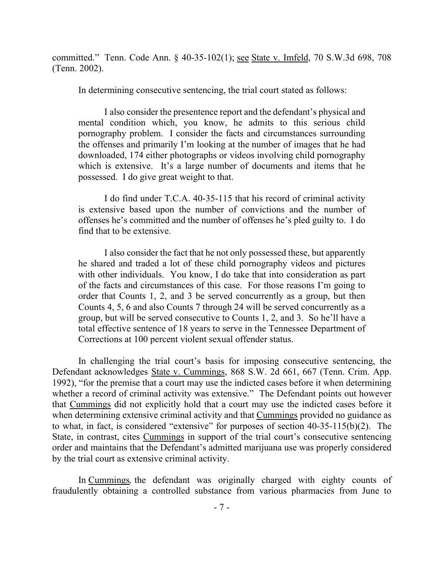committed." Tenn. Code Ann. § 40-35-102(1); see State v. Imfeld, 70 S.W.3d 698, 708 (Tenn. 2002).

In determining consecutive sentencing, the trial court stated as follows:

I also consider the presentence report and the defendant's physical and mental condition which, you know, he admits to this serious child pornography problem. I consider the facts and circumstances surrounding the offenses and primarily I'm looking at the number of images that he had downloaded, 174 either photographs or videos involving child pornography which is extensive. It's a large number of documents and items that he possessed. I do give great weight to that.

I do find under T.C.A. 40-35-115 that his record of criminal activity is extensive based upon the number of convictions and the number of offenses he's committed and the number of offenses he's pled guilty to. I do find that to be extensive.

I also consider the fact that he not only possessed these, but apparently he shared and traded a lot of these child pornography videos and pictures with other individuals. You know, I do take that into consideration as part of the facts and circumstances of this case. For those reasons I'm going to order that Counts 1, 2, and 3 be served concurrently as a group, but then Counts 4, 5, 6 and also Counts 7 through 24 will be served concurrently as a group, but will be served consecutive to Counts 1, 2, and 3. So he'll have a total effective sentence of 18 years to serve in the Tennessee Department of Corrections at 100 percent violent sexual offender status.

In challenging the trial court's basis for imposing consecutive sentencing, the Defendant acknowledges State v. Cummings, 868 S.W. 2d 661, 667 (Tenn. Crim. App. 1992), "for the premise that a court may use the indicted cases before it when determining whether a record of criminal activity was extensive." The Defendant points out however that Cummings did not explicitly hold that a court may use the indicted cases before it when determining extensive criminal activity and that Cummings provided no guidance as to what, in fact, is considered "extensive" for purposes of section 40-35-115(b)(2). The State, in contrast, cites Cummings in support of the trial court's consecutive sentencing order and maintains that the Defendant's admitted marijuana use was properly considered by the trial court as extensive criminal activity.

In Cummings*,* the defendant was originally charged with eighty counts of fraudulently obtaining a controlled substance from various pharmacies from June to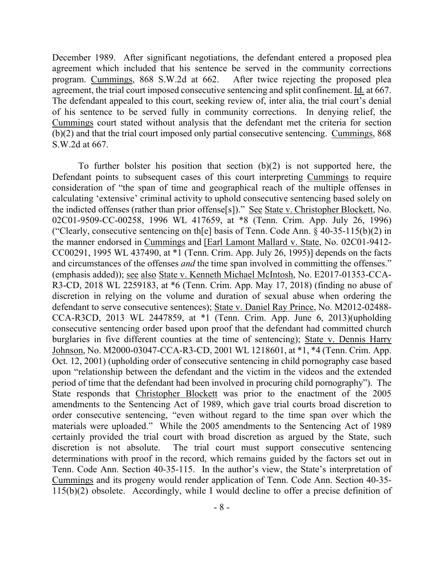December 1989. After significant negotiations, the defendant entered a proposed plea agreement which included that his sentence be served in the community corrections program. Cummings, 868 S.W.2d at 662. After twice rejecting the proposed plea agreement, the trial court imposed consecutive sentencing and split confinement. Id. at 667. The defendant appealed to this court, seeking review of, inter alia, the trial court's denial of his sentence to be served fully in community corrections. In denying relief, the Cummings court stated without analysis that the defendant met the criteria for section (b)(2) and that the trial court imposed only partial consecutive sentencing. Cummings, 868 S.W.2d at 667.

To further bolster his position that section  $(b)(2)$  is not supported here, the Defendant points to subsequent cases of this court interpreting Cummings to require consideration of "the span of time and geographical reach of the multiple offenses in calculating 'extensive' criminal activity to uphold consecutive sentencing based solely on the indicted offenses (rather than prior offense[s])." See State v. Christopher Blockett, No. 02C01-9509-CC-00258, 1996 WL 417659, at \*8 (Tenn. Crim. App. July 26, 1996) ("Clearly, consecutive sentencing on the physical of Tenn. Code Ann.  $\S$  40-35-115(b)(2) in the manner endorsed in Cummings and [Earl Lamont Mallard v. State, No. 02C01-9412- CC00291, 1995 WL 437490, at \*1 (Tenn. Crim. App. July 26, 1995)] depends on the facts and circumstances of the offenses *and* the time span involved in committing the offenses." (emphasis added)); see also State v. Kenneth Michael McIntosh, No. E2017-01353-CCA-R3-CD, 2018 WL 2259183, at \*6 (Tenn. Crim. App. May 17, 2018) (finding no abuse of discretion in relying on the volume and duration of sexual abuse when ordering the defendant to serve consecutive sentences); State v. Daniel Ray Prince, No. M2012-02488- CCA-R3CD, 2013 WL 2447859, at \*1 (Tenn. Crim. App. June 6, 2013)(upholding consecutive sentencing order based upon proof that the defendant had committed church burglaries in five different counties at the time of sentencing); State v. Dennis Harry Johnson, No. M2000-03047-CCA-R3-CD, 2001 WL 1218601, at \*1, \*4 (Tenn. Crim. App. Oct. 12, 2001) (upholding order of consecutive sentencing in child pornography case based upon "relationship between the defendant and the victim in the videos and the extended period of time that the defendant had been involved in procuring child pornography"). The State responds that Christopher Blockett was prior to the enactment of the 2005 amendments to the Sentencing Act of 1989, which gave trial courts broad discretion to order consecutive sentencing, "even without regard to the time span over which the materials were uploaded." While the 2005 amendments to the Sentencing Act of 1989 certainly provided the trial court with broad discretion as argued by the State, such discretion is not absolute. The trial court must support consecutive sentencing determinations with proof in the record, which remains guided by the factors set out in Tenn. Code Ann. Section 40-35-115. In the author's view, the State's interpretation of Cummings and its progeny would render application of Tenn. Code Ann. Section 40-35- 115(b)(2) obsolete. Accordingly, while I would decline to offer a precise definition of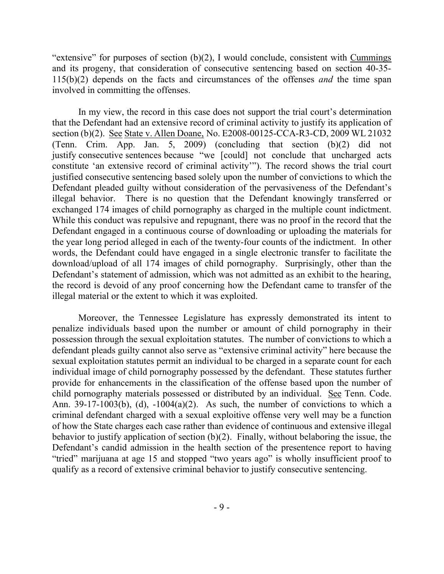"extensive" for purposes of section  $(b)(2)$ , I would conclude, consistent with Cummings and its progeny, that consideration of consecutive sentencing based on section 40-35- 115(b)(2) depends on the facts and circumstances of the offenses *and* the time span involved in committing the offenses.

In my view, the record in this case does not support the trial court's determination that the Defendant had an extensive record of criminal activity to justify its application of section (b)(2). See State v. Allen Doane, No. E2008-00125-CCA-R3-CD, 2009 WL 21032 (Tenn. Crim. App. Jan. 5, 2009) (concluding that section (b)(2) did not justify consecutive sentences because "we [could] not conclude that uncharged acts constitute 'an extensive record of criminal activity'"). The record shows the trial court justified consecutive sentencing based solely upon the number of convictions to which the Defendant pleaded guilty without consideration of the pervasiveness of the Defendant's illegal behavior. There is no question that the Defendant knowingly transferred or exchanged 174 images of child pornography as charged in the multiple count indictment. While this conduct was repulsive and repugnant, there was no proof in the record that the Defendant engaged in a continuous course of downloading or uploading the materials for the year long period alleged in each of the twenty-four counts of the indictment. In other words, the Defendant could have engaged in a single electronic transfer to facilitate the download/upload of all 174 images of child pornography. Surprisingly, other than the Defendant's statement of admission, which was not admitted as an exhibit to the hearing, the record is devoid of any proof concerning how the Defendant came to transfer of the illegal material or the extent to which it was exploited.

Moreover, the Tennessee Legislature has expressly demonstrated its intent to penalize individuals based upon the number or amount of child pornography in their possession through the sexual exploitation statutes. The number of convictions to which a defendant pleads guilty cannot also serve as "extensive criminal activity" here because the sexual exploitation statutes permit an individual to be charged in a separate count for each individual image of child pornography possessed by the defendant. These statutes further provide for enhancements in the classification of the offense based upon the number of child pornography materials possessed or distributed by an individual. See Tenn. Code. Ann. 39-17-1003(b), (d),  $-1004(a)(2)$ . As such, the number of convictions to which a criminal defendant charged with a sexual exploitive offense very well may be a function of how the State charges each case rather than evidence of continuous and extensive illegal behavior to justify application of section (b)(2). Finally, without belaboring the issue, the Defendant's candid admission in the health section of the presentence report to having "tried" marijuana at age 15 and stopped "two years ago" is wholly insufficient proof to qualify as a record of extensive criminal behavior to justify consecutive sentencing.